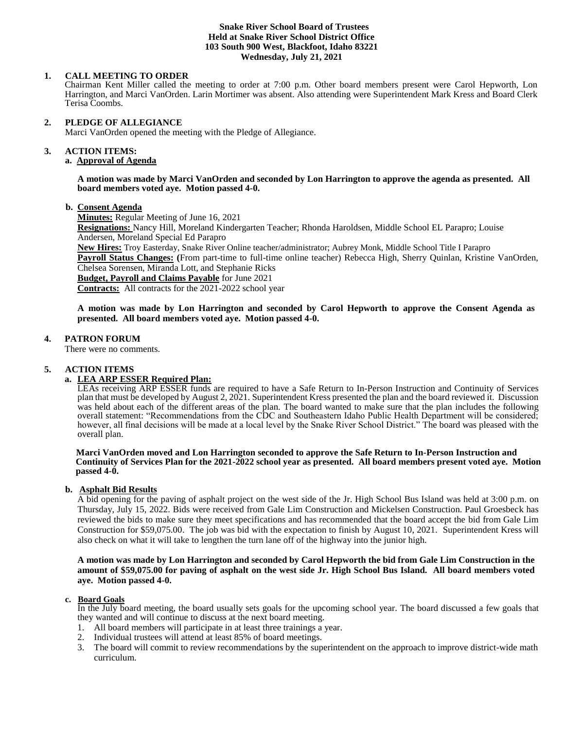#### **Snake River School Board of Trustees Held at Snake River School District Office 103 South 900 West, Blackfoot, Idaho 83221 Wednesday, July 21, 2021**

# **1. CALL MEETING TO ORDER**

Chairman Kent Miller called the meeting to order at 7:00 p.m. Other board members present were Carol Hepworth, Lon Harrington, and Marci VanOrden. Larin Mortimer was absent. Also attending were Superintendent Mark Kress and Board Clerk Terisa Coombs.

#### **2. PLEDGE OF ALLEGIANCE**

Marci VanOrden opened the meeting with the Pledge of Allegiance.

#### 3. **3. ACTION ITEMS:**

# **a. Approval of Agenda**

**A motion was made by Marci VanOrden and seconded by Lon Harrington to approve the agenda as presented. All board members voted aye. Motion passed 4-0.**

#### **b. Consent Agenda**

**Minutes:** Regular Meeting of June 16, 2021

**Resignations:** Nancy Hill, Moreland Kindergarten Teacher; Rhonda Haroldsen, Middle School EL Parapro; Louise Andersen, Moreland Special Ed Parapro

**New Hires:** Troy Easterday, Snake River Online teacher/administrator; Aubrey Monk, Middle School Title I Parapro **Payroll Status Changes: (**From part-time to full-time online teacher) Rebecca High, Sherry Quinlan, Kristine VanOrden, Chelsea Sorensen, Miranda Lott, and Stephanie Ricks

**Budget, Payroll and Claims Payable** for June 2021

**Contracts:** All contracts for the 2021-2022 school year

**A motion was made by Lon Harrington and seconded by Carol Hepworth to approve the Consent Agenda as presented. All board members voted aye. Motion passed 4-0.** 

### **4. PATRON FORUM**

There were no comments.

#### **5. ACTION ITEMS**

# **a. LEA ARP ESSER Required Plan:**

LEAs receiving ARP ESSER funds are required to have a Safe Return to In-Person Instruction and Continuity of Services plan that must be developed by August 2, 2021. Superintendent Kress presented the plan and the board reviewed it. Discussion was held about each of the different areas of the plan. The board wanted to make sure that the plan includes the following overall statement: "Recommendations from the CDC and Southeastern Idaho Public Health Department will be considered; however, all final decisions will be made at a local level by the Snake River School District." The board was pleased with the overall plan.

#### **Marci VanOrden moved and Lon Harrington seconded to approve the Safe Return to In-Person Instruction and Continuity of Services Plan for the 2021-2022 school year as presented. All board members present voted aye. Motion passed 4-0.**

#### **b. Asphalt Bid Results**

A bid opening for the paving of asphalt project on the west side of the Jr. High School Bus Island was held at 3:00 p.m. on Thursday, July 15, 2022. Bids were received from Gale Lim Construction and Mickelsen Construction. Paul Groesbeck has reviewed the bids to make sure they meet specifications and has recommended that the board accept the bid from Gale Lim Construction for \$59,075.00. The job was bid with the expectation to finish by August 10, 2021. Superintendent Kress will also check on what it will take to lengthen the turn lane off of the highway into the junior high.

#### **A motion was made by Lon Harrington and seconded by Carol Hepworth the bid from Gale Lim Construction in the amount of \$59,075.00 for paving of asphalt on the west side Jr. High School Bus Island. All board members voted aye. Motion passed 4-0.**

#### **c. Board Goals**

In the July board meeting, the board usually sets goals for the upcoming school year. The board discussed a few goals that they wanted and will continue to discuss at the next board meeting.

- 1. All board members will participate in at least three trainings a year.
- 2. Individual trustees will attend at least 85% of board meetings.
- 3. The board will commit to review recommendations by the superintendent on the approach to improve district-wide math curriculum.